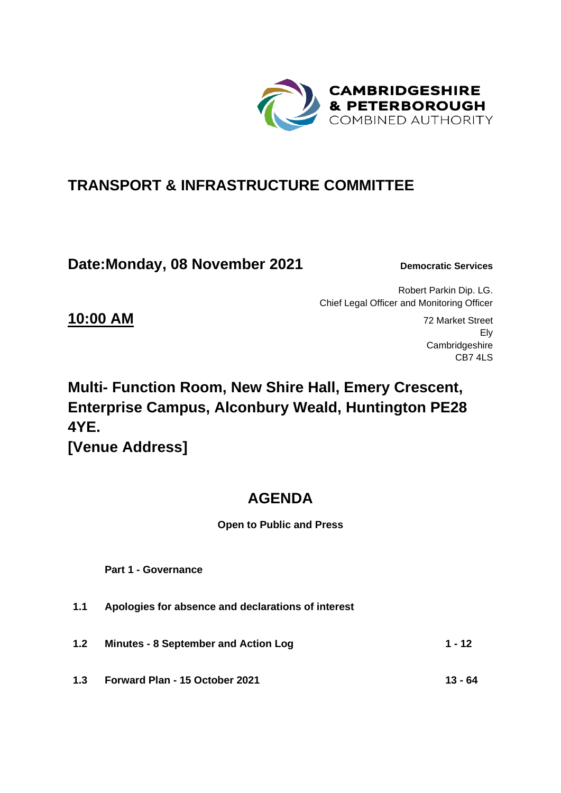

# **TRANSPORT & INFRASTRUCTURE COMMITTEE**

**Date:Monday, 08 November 2021** Democratic Services

Robert Parkin Dip. LG. Chief Legal Officer and Monitoring Officer

**10:00 AM** 72 Market Street Ely Cambridgeshire CB7 4LS

# **Multi- Function Room, New Shire Hall, Emery Crescent, Enterprise Campus, Alconbury Weald, Huntington PE28 4YE. [Venue Address]**

# **AGENDA**

**Open to Public and Press**

 **Part 1 - Governance** 

- **1.1 Apologies for absence and declarations of interest**
- **1.2 Minutes - 8 September and Action Log 1 - 12**
- **1.3 Forward Plan - 15 October 2021 13 - 64**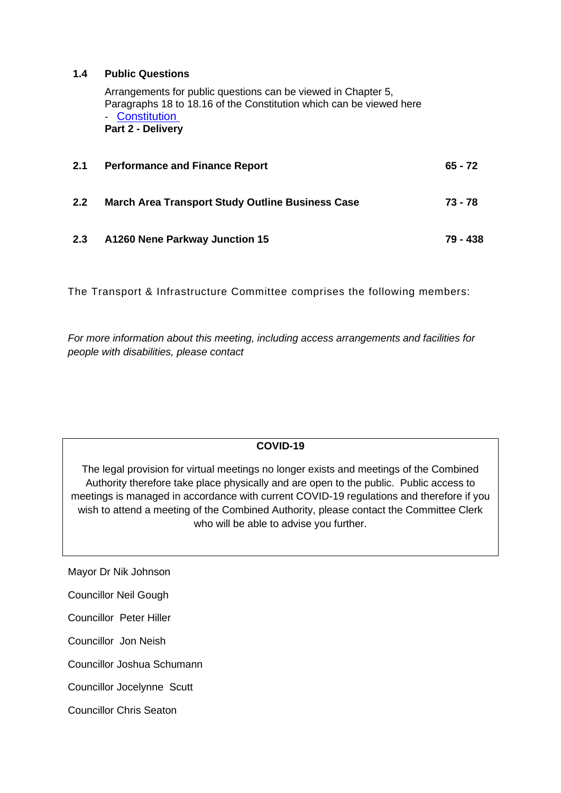#### **1.4 Public Questions**

Arrangements for public questions can be viewed in Chapter 5, Paragraphs 18 to 18.16 of the Constitution which can be viewed here - [Constitution](https://cambridgeshirepeterborough-ca.gov.uk/assets/Transparency/Constitution-Final-2020-11-06-for-website.pdf)  **Part 2 - Delivery** 

| 2.1 | <b>Performance and Finance Report</b>                   | $65 - 72$ |
|-----|---------------------------------------------------------|-----------|
| 2.2 | <b>March Area Transport Study Outline Business Case</b> | 73 - 78   |
| 2.3 | A1260 Nene Parkway Junction 15                          | 79 - 438  |

The Transport & Infrastructure Committee comprises the following members:

*For more information about this meeting, including access arrangements and facilities for people with disabilities, please contact*

### **COVID-19**

The legal provision for virtual meetings no longer exists and meetings of the Combined Authority therefore take place physically and are open to the public. Public access to meetings is managed in accordance with current COVID-19 regulations and therefore if you wish to attend a meeting of the Combined Authority, please contact the Committee Clerk who will be able to advise you further.

Mayor Dr Nik Johnson

Councillor Neil Gough

Councillor Peter Hiller

Councillor Jon Neish

Councillor Joshua Schumann

Councillor Jocelynne Scutt

Councillor Chris Seaton